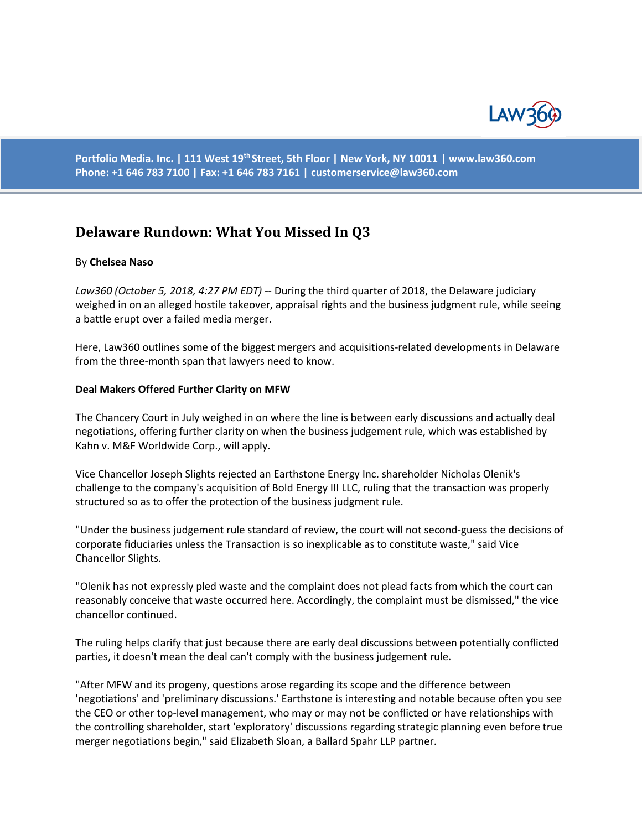

**Portfolio Media. Inc. | 111 West 19th Street, 5th Floor | New York, NY 10011 | www.law360.com Phone: +1 646 783 7100 | Fax: +1 646 783 7161 | customerservice@law360.com**

# **Delaware Rundown: What You Missed In Q3**

### By **Chelsea Naso**

*Law360 (October 5, 2018, 4:27 PM EDT)* -- During the third quarter of 2018, the Delaware judiciary weighed in on an alleged hostile takeover, appraisal rights and the business judgment rule, while seeing a battle erupt over a failed media merger.

Here, Law360 outlines some of the biggest mergers and acquisitions-related developments in Delaware from the three-month span that lawyers need to know.

### **Deal Makers Offered Further Clarity on MFW**

The Chancery Court in July weighed in on where the line is between early discussions and actually deal negotiations, offering further clarity on when the business judgement rule, which was established by Kahn v. M&F Worldwide Corp., will apply.

Vice Chancellor Joseph Slights rejected an Earthstone Energy Inc. shareholder Nicholas Olenik's challenge to the company's acquisition of Bold Energy III LLC, ruling that the transaction was properly structured so as to offer the protection of the business judgment rule.

"Under the business judgement rule standard of review, the court will not second-guess the decisions of corporate fiduciaries unless the Transaction is so inexplicable as to constitute waste," said Vice Chancellor Slights.

"Olenik has not expressly pled waste and the complaint does not plead facts from which the court can reasonably conceive that waste occurred here. Accordingly, the complaint must be dismissed," the vice chancellor continued.

The ruling helps clarify that just because there are early deal discussions between potentially conflicted parties, it doesn't mean the deal can't comply with the business judgement rule.

"After MFW and its progeny, questions arose regarding its scope and the difference between 'negotiations' and 'preliminary discussions.' Earthstone is interesting and notable because often you see the CEO or other top-level management, who may or may not be conflicted or have relationships with the controlling shareholder, start 'exploratory' discussions regarding strategic planning even before true merger negotiations begin," said Elizabeth Sloan, a Ballard Spahr LLP partner.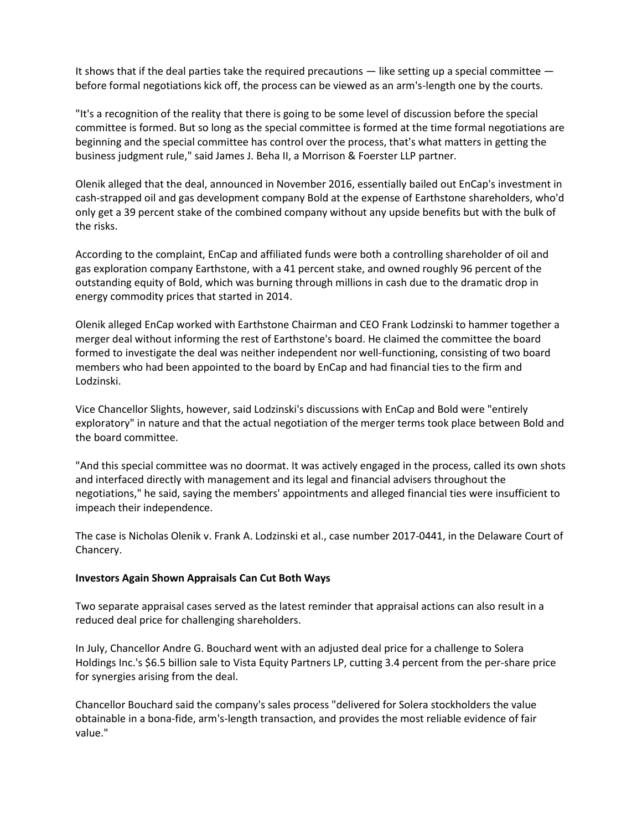It shows that if the deal parties take the required precautions  $-$  like setting up a special committee  $$ before formal negotiations kick off, the process can be viewed as an arm's-length one by the courts.

"It's a recognition of the reality that there is going to be some level of discussion before the special committee is formed. But so long as the special committee is formed at the time formal negotiations are beginning and the special committee has control over the process, that's what matters in getting the business judgment rule," said James J. Beha II, a Morrison & Foerster LLP partner.

Olenik alleged that the deal, announced in November 2016, essentially bailed out EnCap's investment in cash-strapped oil and gas development company Bold at the expense of Earthstone shareholders, who'd only get a 39 percent stake of the combined company without any upside benefits but with the bulk of the risks.

According to the complaint, EnCap and affiliated funds were both a controlling shareholder of oil and gas exploration company Earthstone, with a 41 percent stake, and owned roughly 96 percent of the outstanding equity of Bold, which was burning through millions in cash due to the dramatic drop in energy commodity prices that started in 2014.

Olenik alleged EnCap worked with Earthstone Chairman and CEO Frank Lodzinski to hammer together a merger deal without informing the rest of Earthstone's board. He claimed the committee the board formed to investigate the deal was neither independent nor well-functioning, consisting of two board members who had been appointed to the board by EnCap and had financial ties to the firm and Lodzinski.

Vice Chancellor Slights, however, said Lodzinski's discussions with EnCap and Bold were "entirely exploratory" in nature and that the actual negotiation of the merger terms took place between Bold and the board committee.

"And this special committee was no doormat. It was actively engaged in the process, called its own shots and interfaced directly with management and its legal and financial advisers throughout the negotiations," he said, saying the members' appointments and alleged financial ties were insufficient to impeach their independence.

The case is Nicholas Olenik v. Frank A. Lodzinski et al., case number 2017-0441, in the Delaware Court of Chancery.

# **Investors Again Shown Appraisals Can Cut Both Ways**

Two separate appraisal cases served as the latest reminder that appraisal actions can also result in a reduced deal price for challenging shareholders.

In July, Chancellor Andre G. Bouchard went with an adjusted deal price for a challenge to Solera Holdings Inc.'s \$6.5 billion sale to Vista Equity Partners LP, cutting 3.4 percent from the per-share price for synergies arising from the deal.

Chancellor Bouchard said the company's sales process "delivered for Solera stockholders the value obtainable in a bona-fide, arm's-length transaction, and provides the most reliable evidence of fair value."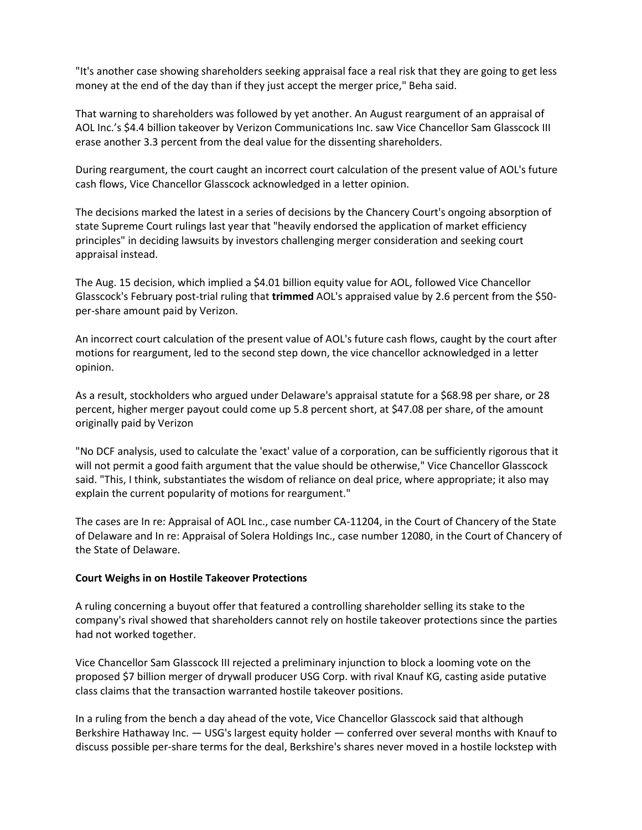"It's another case showing shareholders seeking appraisal face a real risk that they are going to get less money at the end of the day than if they just accept the merger price," Beha said.

That warning to shareholders was followed by yet another. An August reargument of an appraisal of AOL Inc.'s \$4.4 billion takeover by Verizon Communications Inc. saw Vice Chancellor Sam Glasscock III erase another 3.3 percent from the deal value for the dissenting shareholders.

During reargument, the court caught an incorrect court calculation of the present value of AOL's future cash flows, Vice Chancellor Glasscock acknowledged in a letter opinion.

The decisions marked the latest in a series of decisions by the Chancery Court's ongoing absorption of state Supreme Court rulings last year that "heavily endorsed the application of market efficiency principles" in deciding lawsuits by investors challenging merger consideration and seeking court appraisal instead.

The Aug. 15 decision, which implied a \$4.01 billion equity value for AOL, followed Vice Chancellor Glasscock's February post-trial ruling that **trimmed** AOL's appraised value by 2.6 percent from the \$50 per-share amount paid by Verizon.

An incorrect court calculation of the present value of AOL's future cash flows, caught by the court after motions for reargument, led to the second step down, the vice chancellor acknowledged in a letter opinion.

As a result, stockholders who argued under Delaware's appraisal statute for a \$68.98 per share, or 28 percent, higher merger payout could come up 5.8 percent short, at \$47.08 per share, of the amount originally paid by Verizon

"No DCF analysis, used to calculate the 'exact' value of a corporation, can be sufficiently rigorous that it will not permit a good faith argument that the value should be otherwise," Vice Chancellor Glasscock said. "This, I think, substantiates the wisdom of reliance on deal price, where appropriate; it also may explain the current popularity of motions for reargument."

The cases are In re: Appraisal of AOL Inc., case number CA-11204, in the Court of Chancery of the State of Delaware and In re: Appraisal of Solera Holdings Inc., case number 12080, in the Court of Chancery of the State of Delaware.

# **Court Weighs in on Hostile Takeover Protections**

A ruling concerning a buyout offer that featured a controlling shareholder selling its stake to the company's rival showed that shareholders cannot rely on hostile takeover protections since the parties had not worked together.

Vice Chancellor Sam Glasscock III rejected a preliminary injunction to block a looming vote on the proposed \$7 billion merger of drywall producer USG Corp. with rival Knauf KG, casting aside putative class claims that the transaction warranted hostile takeover positions.

In a ruling from the bench a day ahead of the vote, Vice Chancellor Glasscock said that although Berkshire Hathaway Inc. — USG's largest equity holder — conferred over several months with Knauf to discuss possible per-share terms for the deal, Berkshire's shares never moved in a hostile lockstep with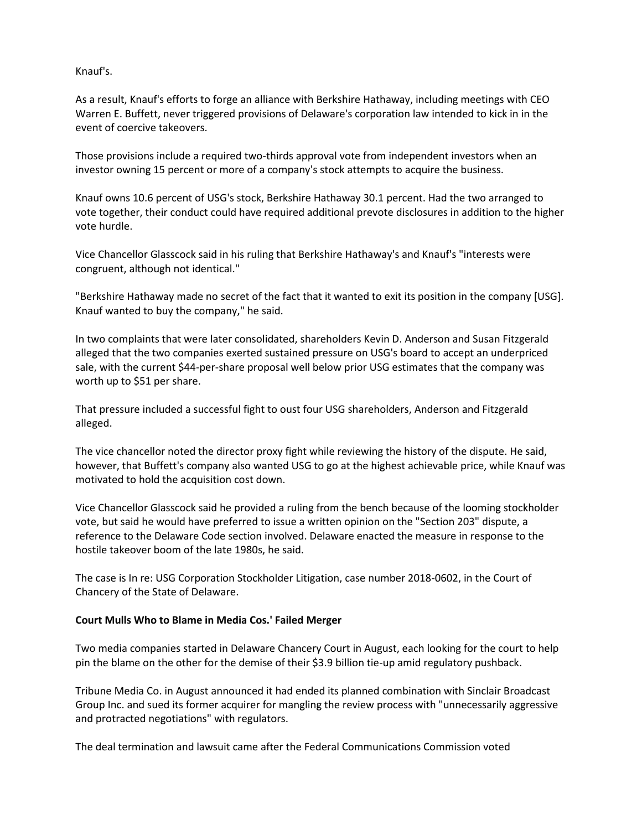Knauf's.

As a result, Knauf's efforts to forge an alliance with Berkshire Hathaway, including meetings with CEO Warren E. Buffett, never triggered provisions of Delaware's corporation law intended to kick in in the event of coercive takeovers.

Those provisions include a required two-thirds approval vote from independent investors when an investor owning 15 percent or more of a company's stock attempts to acquire the business.

Knauf owns 10.6 percent of USG's stock, Berkshire Hathaway 30.1 percent. Had the two arranged to vote together, their conduct could have required additional prevote disclosures in addition to the higher vote hurdle.

Vice Chancellor Glasscock said in his ruling that Berkshire Hathaway's and Knauf's "interests were congruent, although not identical."

"Berkshire Hathaway made no secret of the fact that it wanted to exit its position in the company [USG]. Knauf wanted to buy the company," he said.

In two complaints that were later consolidated, shareholders Kevin D. Anderson and Susan Fitzgerald alleged that the two companies exerted sustained pressure on USG's board to accept an underpriced sale, with the current \$44-per-share proposal well below prior USG estimates that the company was worth up to \$51 per share.

That pressure included a successful fight to oust four USG shareholders, Anderson and Fitzgerald alleged.

The vice chancellor noted the director proxy fight while reviewing the history of the dispute. He said, however, that Buffett's company also wanted USG to go at the highest achievable price, while Knauf was motivated to hold the acquisition cost down.

Vice Chancellor Glasscock said he provided a ruling from the bench because of the looming stockholder vote, but said he would have preferred to issue a written opinion on the "Section 203" dispute, a reference to the Delaware Code section involved. Delaware enacted the measure in response to the hostile takeover boom of the late 1980s, he said.

The case is In re: USG Corporation Stockholder Litigation, case number 2018-0602, in the Court of Chancery of the State of Delaware.

# **Court Mulls Who to Blame in Media Cos.' Failed Merger**

Two media companies started in Delaware Chancery Court in August, each looking for the court to help pin the blame on the other for the demise of their \$3.9 billion tie-up amid regulatory pushback.

Tribune Media Co. in August announced it had ended its planned combination with Sinclair Broadcast Group Inc. and sued its former acquirer for mangling the review process with "unnecessarily aggressive and protracted negotiations" with regulators.

The deal termination and lawsuit came after the Federal Communications Commission voted